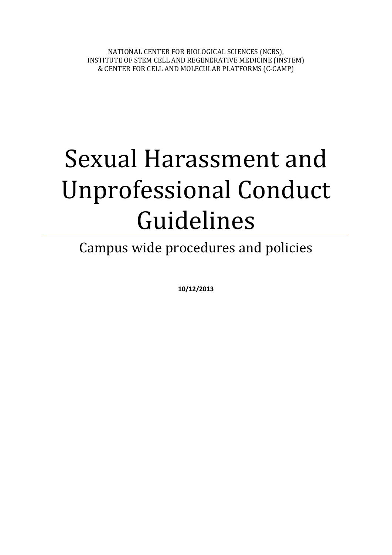NATIONAL CENTER FOR BIOLOGICAL SCIENCES (NCBS), INSTITUTE OF STEM CELL AND REGENERATIVE MEDICINE (INSTEM) & CENTER FOR CELL AND MOLECULAR PLATFORMS (C-CAMP)

# Sexual Harassment and Unprofessional Conduct Guidelines

Campus wide procedures and policies

**10/12/2013**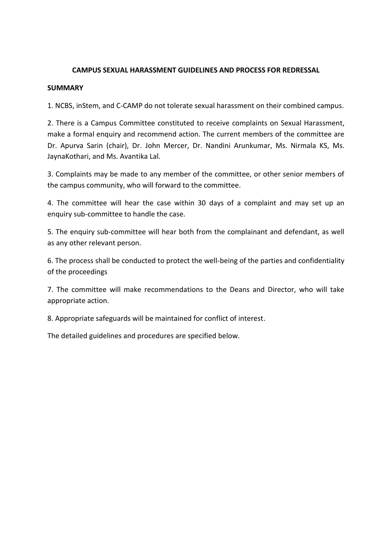## **CAMPUS SEXUAL HARASSMENT GUIDELINES AND PROCESS FOR REDRESSAL**

### **SUMMARY**

1. NCBS, inStem, and C-CAMP do not tolerate sexual harassment on their combined campus.

2. There is a Campus Committee constituted to receive complaints on Sexual Harassment, make a formal enquiry and recommend action. The current members of the committee are Dr. Apurva Sarin (chair), Dr. John Mercer, Dr. Nandini Arunkumar, Ms. Nirmala KS, Ms. JaynaKothari, and Ms. Avantika Lal.

3. Complaints may be made to any member of the committee, or other senior members of the campus community, who will forward to the committee.

4. The committee will hear the case within 30 days of a complaint and may set up an enquiry sub-committee to handle the case.

5. The enquiry sub-committee will hear both from the complainant and defendant, as well as any other relevant person.

6. The process shall be conducted to protect the well-being of the parties and confidentiality of the proceedings

7. The committee will make recommendations to the Deans and Director, who will take appropriate action.

8. Appropriate safeguards will be maintained for conflict of interest.

The detailed guidelines and procedures are specified below.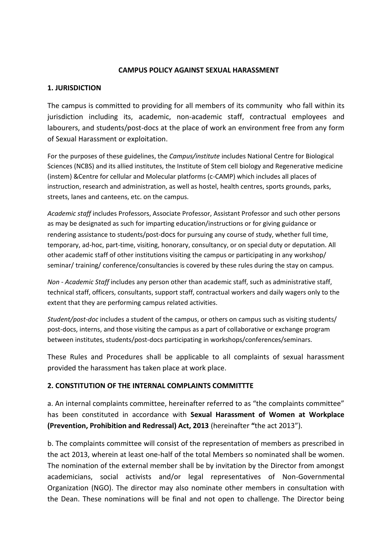### **CAMPUS POLICY AGAINST SEXUAL HARASSMENT**

### **1. JURISDICTION**

The campus is committed to providing for all members of its community who fall within its jurisdiction including its, academic, non-academic staff, contractual employees and labourers, and students/post-docs at the place of work an environment free from any form of Sexual Harassment or exploitation.

For the purposes of these guidelines, the *Campus/institute* includes National Centre for Biological Sciences (NCBS) and its allied institutes, the Institute of Stem cell biology and Regenerative medicine (instem) &Centre for cellular and Molecular platforms (c-CAMP) which includes all places of instruction, research and administration, as well as hostel, health centres, sports grounds, parks, streets, lanes and canteens, etc. on the campus.

*Academic staff* includes Professors, Associate Professor, Assistant Professor and such other persons as may be designated as such for imparting education/instructions or for giving guidance or rendering assistance to students/post-docs for pursuing any course of study, whether full time, temporary, ad-hoc, part-time, visiting, honorary, consultancy, or on special duty or deputation. All other academic staff of other institutions visiting the campus or participating in any workshop/ seminar/ training/ conference/consultancies is covered by these rules during the stay on campus.

*Non - Academic Staff* includes any person other than academic staff, such as administrative staff, technical staff, officers, consultants, support staff, contractual workers and daily wagers only to the extent that they are performing campus related activities.

*Student/post-doc* includes a student of the campus, or others on campus such as visiting students/ post-docs, interns, and those visiting the campus as a part of collaborative or exchange program between institutes, students/post-docs participating in workshops/conferences/seminars.

These Rules and Procedures shall be applicable to all complaints of sexual harassment provided the harassment has taken place at work place.

## **2. CONSTITUTION OF THE INTERNAL COMPLAINTS COMMITTTE**

a. An internal complaints committee, hereinafter referred to as "the complaints committee" has been constituted in accordance with **Sexual Harassment of Women at Workplace (Prevention, Prohibition and Redressal) Act, 2013** (hereinafter **"**the act 2013").

b. The complaints committee will consist of the representation of members as prescribed in the act 2013, wherein at least one-half of the total Members so nominated shall be women. The nomination of the external member shall be by invitation by the Director from amongst academicians, social activists and/or legal representatives of Non-Governmental Organization (NGO). The director may also nominate other members in consultation with the Dean. These nominations will be final and not open to challenge. The Director being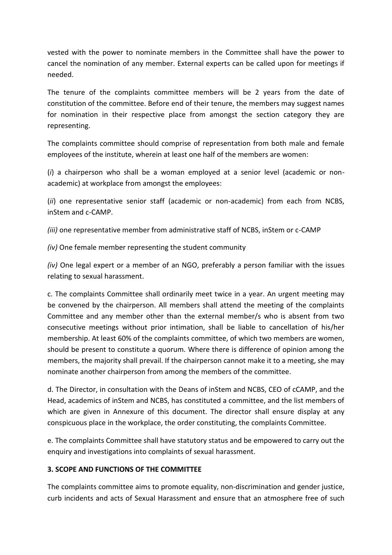vested with the power to nominate members in the Committee shall have the power to cancel the nomination of any member. External experts can be called upon for meetings if needed.

The tenure of the complaints committee members will be 2 years from the date of constitution of the committee. Before end of their tenure, the members may suggest names for nomination in their respective place from amongst the section category they are representing.

The complaints committee should comprise of representation from both male and female employees of the institute, wherein at least one half of the members are women:

(*i*) a chairperson who shall be a woman employed at a senior level (academic or nonacademic) at workplace from amongst the employees:

(*ii*) one representative senior staff (academic or non-academic) from each from NCBS, inStem and c-CAMP.

*(iii)* one representative member from administrative staff of NCBS, inStem or c-CAMP

*(iv)* One female member representing the student community

*(iv)* One legal expert or a member of an NGO, preferably a person familiar with the issues relating to sexual harassment.

c. The complaints Committee shall ordinarily meet twice in a year. An urgent meeting may be convened by the chairperson. All members shall attend the meeting of the complaints Committee and any member other than the external member/s who is absent from two consecutive meetings without prior intimation, shall be liable to cancellation of his/her membership. At least 60% of the complaints committee, of which two members are women, should be present to constitute a quorum. Where there is difference of opinion among the members, the majority shall prevail. If the chairperson cannot make it to a meeting, she may nominate another chairperson from among the members of the committee.

d. The Director, in consultation with the Deans of inStem and NCBS, CEO of cCAMP, and the Head, academics of inStem and NCBS, has constituted a committee, and the list members of which are given in Annexure of this document. The director shall ensure display at any conspicuous place in the workplace, the order constituting, the complaints Committee.

e. The complaints Committee shall have statutory status and be empowered to carry out the enquiry and investigations into complaints of sexual harassment.

# **3. SCOPE AND FUNCTIONS OF THE COMMITTEE**

The complaints committee aims to promote equality, non-discrimination and gender justice, curb incidents and acts of Sexual Harassment and ensure that an atmosphere free of such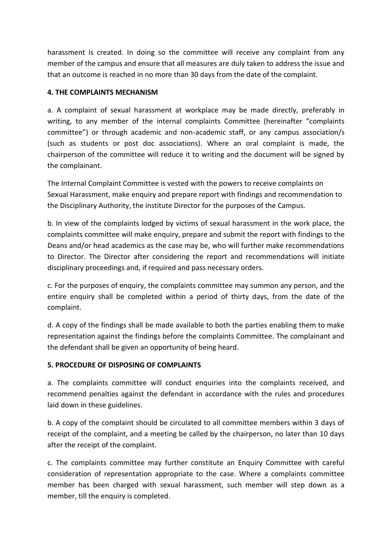harassment is created. In doing so the committee will receive any complaint from any member of the campus and ensure that all measures are duly taken to address the issue and that an outcome is reached in no more than 30 days from the date of the complaint.

# **4. THE COMPLAINTS MECHANISM**

a. A complaint of sexual harassment at workplace may be made directly, preferably in writing, to any member of the internal complaints Committee (hereinafter "complaints committee") or through academic and non-academic staff, or any campus association/s (such as students or post doc associations). Where an oral complaint is made, the chairperson of the committee will reduce it to writing and the document will be signed by the complainant.

The Internal Complaint Committee is vested with the powers to receive complaints on Sexual Harassment, make enquiry and prepare report with findings and recommendation to the Disciplinary Authority, the institute Director for the purposes of the Campus.

b. In view of the complaints lodged by victims of sexual harassment in the work place, the complaints committee will make enquiry, prepare and submit the report with findings to the Deans and/or head academics as the case may be, who will further make recommendations to Director. The Director after considering the report and recommendations will initiate disciplinary proceedings and, if required and pass necessary orders.

c. For the purposes of enquiry, the complaints committee may summon any person, and the entire enquiry shall be completed within a period of thirty days, from the date of the complaint.

d. A copy of the findings shall be made available to both the parties enabling them to make representation against the findings before the complaints Committee. The complainant and the defendant shall be given an opportunity of being heard.

# **5. PROCEDURE OF DISPOSING OF COMPLAINTS**

a. The complaints committee will conduct enquiries into the complaints received, and recommend penalties against the defendant in accordance with the rules and procedures laid down in these guidelines.

b. A copy of the complaint should be circulated to all committee members within 3 days of receipt of the complaint, and a meeting be called by the chairperson, no later than 10 days after the receipt of the complaint.

c. The complaints committee may further constitute an Enquiry Committee with careful consideration of representation appropriate to the case. Where a complaints committee member has been charged with sexual harassment, such member will step down as a member, till the enquiry is completed.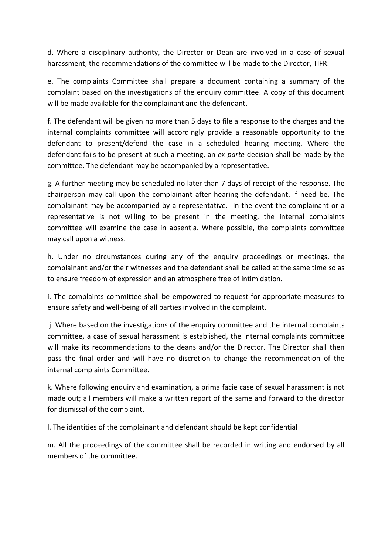d. Where a disciplinary authority, the Director or Dean are involved in a case of sexual harassment, the recommendations of the committee will be made to the Director, TIFR.

e. The complaints Committee shall prepare a document containing a summary of the complaint based on the investigations of the enquiry committee. A copy of this document will be made available for the complainant and the defendant.

f. The defendant will be given no more than 5 days to file a response to the charges and the internal complaints committee will accordingly provide a reasonable opportunity to the defendant to present/defend the case in a scheduled hearing meeting. Where the defendant fails to be present at such a meeting, an *ex parte* decision shall be made by the committee. The defendant may be accompanied by a representative.

g. A further meeting may be scheduled no later than 7 days of receipt of the response. The chairperson may call upon the complainant after hearing the defendant, if need be. The complainant may be accompanied by a representative. In the event the complainant or a representative is not willing to be present in the meeting, the internal complaints committee will examine the case in absentia. Where possible, the complaints committee may call upon a witness.

h. Under no circumstances during any of the enquiry proceedings or meetings, the complainant and/or their witnesses and the defendant shall be called at the same time so as to ensure freedom of expression and an atmosphere free of intimidation.

i. The complaints committee shall be empowered to request for appropriate measures to ensure safety and well-being of all parties involved in the complaint.

j. Where based on the investigations of the enquiry committee and the internal complaints committee, a case of sexual harassment is established, the internal complaints committee will make its recommendations to the deans and/or the Director. The Director shall then pass the final order and will have no discretion to change the recommendation of the internal complaints Committee.

k. Where following enquiry and examination, a prima facie case of sexual harassment is not made out; all members will make a written report of the same and forward to the director for dismissal of the complaint.

l. The identities of the complainant and defendant should be kept confidential

m. All the proceedings of the committee shall be recorded in writing and endorsed by all members of the committee.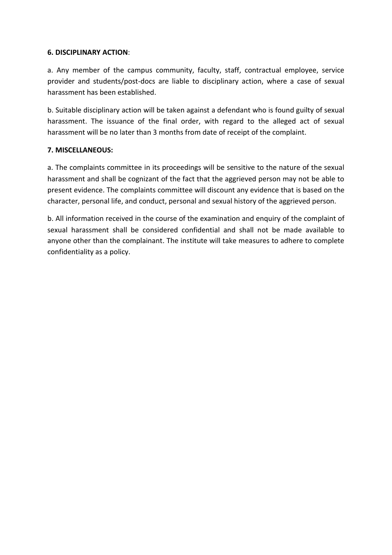## **6. DISCIPLINARY ACTION**:

a. Any member of the campus community, faculty, staff, contractual employee, service provider and students/post-docs are liable to disciplinary action, where a case of sexual harassment has been established.

b. Suitable disciplinary action will be taken against a defendant who is found guilty of sexual harassment. The issuance of the final order, with regard to the alleged act of sexual harassment will be no later than 3 months from date of receipt of the complaint.

# **7. MISCELLANEOUS:**

a. The complaints committee in its proceedings will be sensitive to the nature of the sexual harassment and shall be cognizant of the fact that the aggrieved person may not be able to present evidence. The complaints committee will discount any evidence that is based on the character, personal life, and conduct, personal and sexual history of the aggrieved person.

b. All information received in the course of the examination and enquiry of the complaint of sexual harassment shall be considered confidential and shall not be made available to anyone other than the complainant. The institute will take measures to adhere to complete confidentiality as a policy.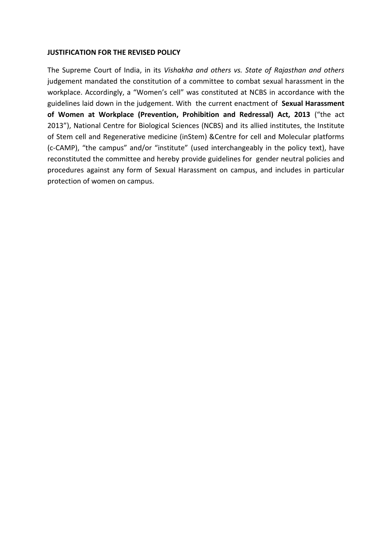### **JUSTIFICATION FOR THE REVISED POLICY**

The Supreme Court of India, in its *Vishakha and others vs. State of Rajasthan and others* judgement mandated the constitution of a committee to combat sexual harassment in the workplace. Accordingly, a "Women's cell" was constituted at NCBS in accordance with the guidelines laid down in the judgement. With the current enactment of **Sexual Harassment of Women at Workplace (Prevention, Prohibition and Redressal) Act, 2013** ("the act 2013"), National Centre for Biological Sciences (NCBS) and its allied institutes, the Institute of Stem cell and Regenerative medicine (inStem) &Centre for cell and Molecular platforms (c-CAMP), "the campus" and/or "institute" (used interchangeably in the policy text), have reconstituted the committee and hereby provide guidelines for gender neutral policies and procedures against any form of Sexual Harassment on campus, and includes in particular protection of women on campus.